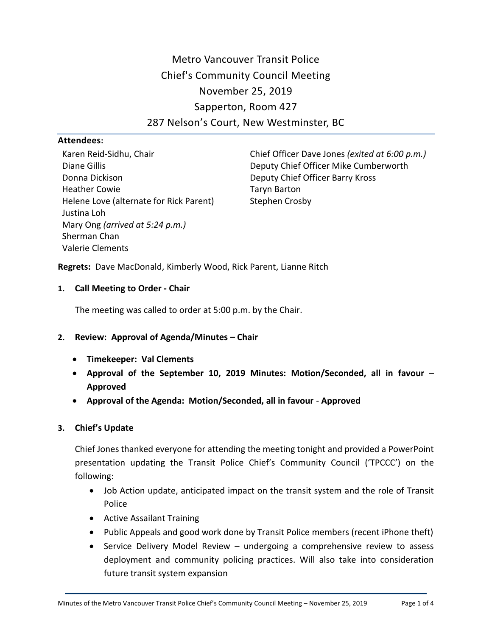Metro Vancouver Transit Police Chief's Community Council Meeting November 25, 2019 Sapperton, Room 427 287 Nelson's Court, New Westminster, BC

### **Attendees:**

Karen Reid-Sidhu, Chair Diane Gillis Donna Dickison Heather Cowie Helene Love (alternate for Rick Parent) Justina Loh Mary Ong *(arrived at 5:24 p.m.)* Sherman Chan Valerie Clements

Chief Officer Dave Jones *(exited at 6:00 p.m.)* Deputy Chief Officer Mike Cumberworth Deputy Chief Officer Barry Kross Taryn Barton Stephen Crosby

**Regrets:** Dave MacDonald, Kimberly Wood, Rick Parent, Lianne Ritch

### **1. Call Meeting to Order - Chair**

The meeting was called to order at 5:00 p.m. by the Chair.

### **2. Review: Approval of Agenda/Minutes – Chair**

- **Timekeeper: Val Clements**
- **Approval of the September 10, 2019 Minutes: Motion/Seconded, all in favour Approved**
- **Approval of the Agenda: Motion/Seconded, all in favour Approved**

### **3. Chief's Update**

Chief Jones thanked everyone for attending the meeting tonight and provided a PowerPoint presentation updating the Transit Police Chief's Community Council ('TPCCC') on the following:

- Job Action update, anticipated impact on the transit system and the role of Transit Police
- Active Assailant Training
- Public Appeals and good work done by Transit Police members (recent iPhone theft)
- Service Delivery Model Review undergoing a comprehensive review to assess deployment and community policing practices. Will also take into consideration future transit system expansion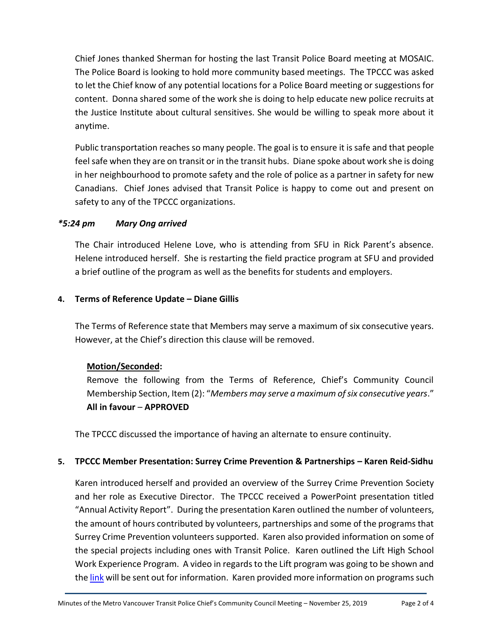Chief Jones thanked Sherman for hosting the last Transit Police Board meeting at MOSAIC. The Police Board is looking to hold more community based meetings. The TPCCC was asked to let the Chief know of any potential locations for a Police Board meeting or suggestions for content. Donna shared some of the work she is doing to help educate new police recruits at the Justice Institute about cultural sensitives. She would be willing to speak more about it anytime.

Public transportation reaches so many people. The goal is to ensure it is safe and that people feel safe when they are on transit or in the transit hubs. Diane spoke about work she is doing in her neighbourhood to promote safety and the role of police as a partner in safety for new Canadians. Chief Jones advised that Transit Police is happy to come out and present on safety to any of the TPCCC organizations.

# *\*5:24 pm Mary Ong arrived*

The Chair introduced Helene Love, who is attending from SFU in Rick Parent's absence. Helene introduced herself. She is restarting the field practice program at SFU and provided a brief outline of the program as well as the benefits for students and employers.

### **4. Terms of Reference Update – Diane Gillis**

The Terms of Reference state that Members may serve a maximum of six consecutive years. However, at the Chief's direction this clause will be removed.

# **Motion/Seconded:**

Remove the following from the Terms of Reference, Chief's Community Council Membership Section, Item (2): "*Members may serve a maximum of six consecutive years*." **All in favour** – **APPROVED**

The TPCCC discussed the importance of having an alternate to ensure continuity.

# **5. TPCCC Member Presentation: Surrey Crime Prevention & Partnerships – Karen Reid-Sidhu**

Karen introduced herself and provided an overview of the Surrey Crime Prevention Society and her role as Executive Director. The TPCCC received a PowerPoint presentation titled "Annual Activity Report". During the presentation Karen outlined the number of volunteers, the amount of hours contributed by volunteers, partnerships and some of the programs that Surrey Crime Prevention volunteers supported. Karen also provided information on some of the special projects including ones with Transit Police. Karen outlined the Lift High School Work Experience Program. A video in regards to the Lift program was going to be shown and the [link](https://www.youtube.com/watch?v=x58lpcyjF_I) will be sent out for information. Karen provided more information on programs such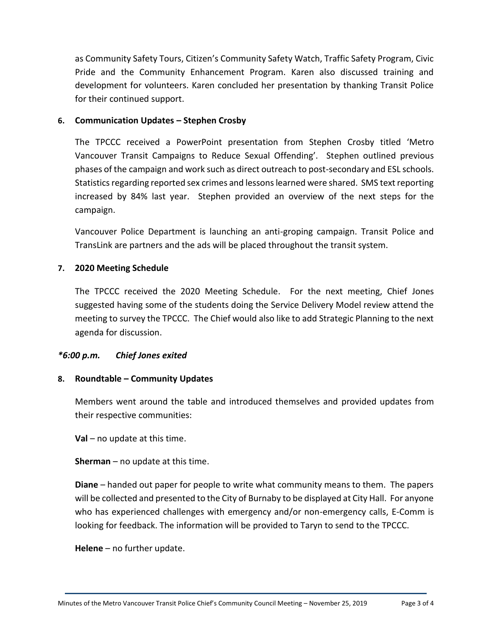as Community Safety Tours, Citizen's Community Safety Watch, Traffic Safety Program, Civic Pride and the Community Enhancement Program. Karen also discussed training and development for volunteers. Karen concluded her presentation by thanking Transit Police for their continued support.

#### **6. Communication Updates – Stephen Crosby**

The TPCCC received a PowerPoint presentation from Stephen Crosby titled 'Metro Vancouver Transit Campaigns to Reduce Sexual Offending'. Stephen outlined previous phases of the campaign and work such as direct outreach to post-secondary and ESL schools. Statistics regarding reported sex crimes and lessons learned were shared. SMS text reporting increased by 84% last year. Stephen provided an overview of the next steps for the campaign.

Vancouver Police Department is launching an anti-groping campaign. Transit Police and TransLink are partners and the ads will be placed throughout the transit system.

### **7. 2020 Meeting Schedule**

The TPCCC received the 2020 Meeting Schedule. For the next meeting, Chief Jones suggested having some of the students doing the Service Delivery Model review attend the meeting to survey the TPCCC. The Chief would also like to add Strategic Planning to the next agenda for discussion.

### *\*6:00 p.m. Chief Jones exited*

### **8. Roundtable – Community Updates**

Members went around the table and introduced themselves and provided updates from their respective communities:

**Val** – no update at this time.

**Sherman** – no update at this time.

**Diane** – handed out paper for people to write what community means to them. The papers will be collected and presented to the City of Burnaby to be displayed at City Hall. For anyone who has experienced challenges with emergency and/or non-emergency calls, E-Comm is looking for feedback. The information will be provided to Taryn to send to the TPCCC.

**Helene** – no further update.